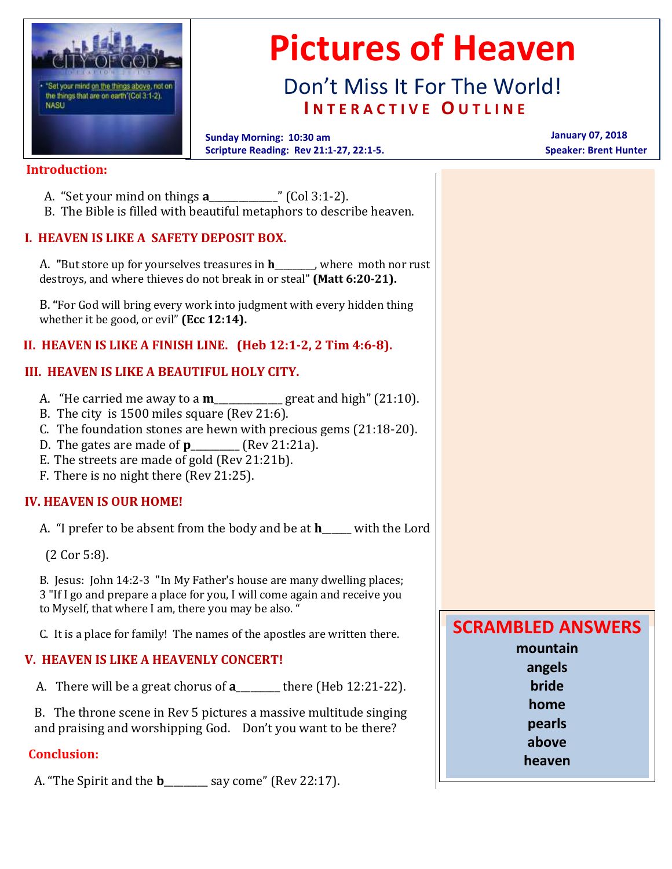

# **Pictures of Heaven**

# Don't Miss It For The World! **I N T E R A C T I V E O U T L I N E**

 **Sunday Morning: 10:30 am January 07, 2018 Scripture Reading: Rev 21:1-27, 22:1-5. Speaker: Brent Hunter**

#### **Introduction:**

- A. "Set your mind on things **a**\_\_\_\_\_\_\_\_\_\_\_\_\_\_" (Col 3:1-2).
- B. The Bible is filled with beautiful metaphors to describe heaven.

#### **I. HEAVEN IS LIKE A SAFETY DEPOSIT BOX.**

A. **"**But store up for yourselves treasures in **h**\_\_\_\_\_\_\_\_\_, where moth nor rust destroys, and where thieves do not break in or steal" **(Matt 6:20-21).** 

B. **"**For God will bring every work into judgment with every hidden thing whether it be good, or evil" **(Ecc 12:14).** 

## **II. HEAVEN IS LIKE A FINISH LINE. (Heb 12:1-2, 2 Tim 4:6-8).**

## **III. HEAVEN IS LIKE A BEAUTIFUL HOLY CITY.**

- A. "He carried me away to a **m**\_\_\_\_\_\_\_\_\_\_\_\_\_\_ great and high" (21:10).
- B. The city is 1500 miles square (Rev 21:6).
- C. The foundation stones are hewn with precious gems (21:18-20).
- D. The gates are made of **p**\_\_\_\_\_\_\_\_\_\_ (Rev 21:21a).
- E. The streets are made of gold (Rev 21:21b).
- F. There is no night there (Rev 21:25).

#### **IV. HEAVEN IS OUR HOME!**

A. "I prefer to be absent from the body and be at **h**\_\_\_\_\_\_ with the Lord

(2 Cor 5:8).

B. Jesus:John 14:2-3 "In My Father's house are many dwelling places; 3 "If I go and prepare a place for you, I will come again and receive you to Myself, that where I am, there you may be also. "

C. It is a place for family! The names of the apostles are written there.

#### **V. HEAVEN IS LIKE A HEAVENLY CONCERT!**

A. There will be a great chorus of **a**\_\_\_\_\_\_\_\_\_ there (Heb 12:21-22).

B. The throne scene in Rev 5 pictures a massive multitude singing and praising and worshipping God. Don't you want to be there?

#### **Conclusion:**

A. "The Spirit and the **b**\_\_\_\_\_\_\_\_\_ say come" (Rev 22:17).

## **SCRAMBLED ANSWERS**

**mountain angels bride home pearls above heaven**